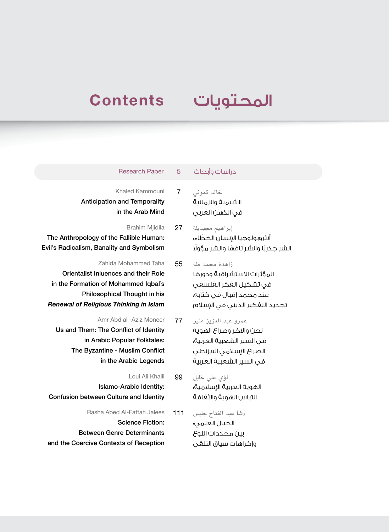## **Contents**

## المحتويات

## دراسات وأبحاث 5 Paper Research

Khaled Kammouni 7 Anticipation and Temporality in the Arab Mind

Brahim Mjidila 27 The Anthropology of the Fallible Human: Evil's Radicalism, Banality and Symbolism

Zahida Mohammed Taha 55 Orientalist Inluences and their Role in the Formation of Mohammed Iqbal's Philosophical Thought in his *Renewal of Religious Thinking in Islam*

- Amr Abd al -Aziz Moneer 77 Us and Them: The Conflict of Identity in Arabic Popular Folktales: The Byzantine - Muslim Conflict in the Arabic Legends
- Loui Ali Khalil 99 Islamo-Arabic Identity: Confusion between Culture and Identity
- Rasha Abed Al-Fattah Jalees 111 Science Fiction: Between Genre Determinants and the Coercive Contexts of Reception

خالد كموني الشيمية والزمانية في الذهن العربي

إبراهيم مجيديلة أنثروبولوجيا الإنسان الخطاء: الشر جذريًا والشر تافهًا والشر مؤولًا

- زاهدة محمد طه المؤثرات االستشراقية ودورها في تشكيل الفكر الفلسفي عند محمد إقبال في كتابه: تجديد التفكير الديني في اإلسالم
- عمرو عبد العزيز منير نحن والآخر وصراع الهوية في السير الشعبية العربية: الصراع الإسلامي البيزنطي في السير الشعبية العربية
- لؤي علي خليل الهوية العربية الإسلامية: التباس الهوية والثقافة
- رشا عبد الفتاح جليس الخيال العلمي: بين محددات النوع وإكراهات سياق التلقي